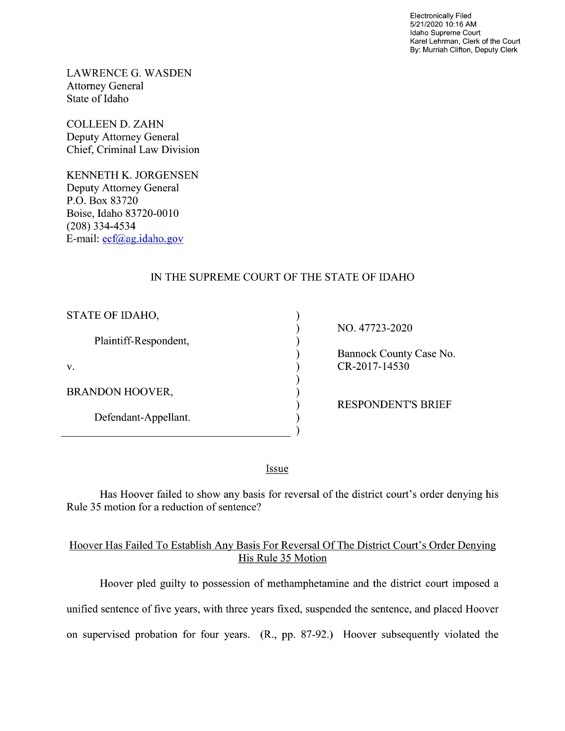Electronically Filed 5/21/2020 10:16 AM Idaho Supreme Court Karel Lehrman, Clerk of the Court By: Murriah Clifton, Deputy Clerk

LAWRENCE G. WASDEN Attorney General State of Idaho

COLLEEN D. ZAHN Deputy Attorney General Chief, Criminal Law Division

KENNETH K. JORGENSEN Deputy Attorney General P.O. Box 83720 Boise, Idaho 83720-0010 (208) 334—4534 E—mail: ecf@ag.idaho.gov

# IN THE SUPREME COURT OF THE STATE OF IDAHO

⟩  $\lambda$  $\lambda$  $\mathcal{L}$ 

 $\mathcal{E}$  $\mathcal{E}$  $\lambda$ 

 $\lambda$ 

| STATE OF IDAHO,        |
|------------------------|
| Plaintiff-Respondent,  |
| V.                     |
| <b>BRANDON HOOVER,</b> |
| Defendant-Appellant.   |

NO. 47723-2020

Bannock County Case No.  $CR-2017-14530$ 

RESPONDENT'S BRIEF

Issue

Has Hoover failed to show any basis for reversal of the district court's order denying his Rule 35 motion for a reduction of sentence?

### Hoover Has Failed T0 Establish AnV Basis For Reversal Of The District Court's Order Denying His Rule 35 Motion

Hoover pled guilty to possession of methamphetamine and the district court imposed a unified sentence 0f five years, with three years fixed, suspended the sentence, and placed Hoover on supervised probation for four years. (R., pp. 87-92.) Hoover subsequently violated the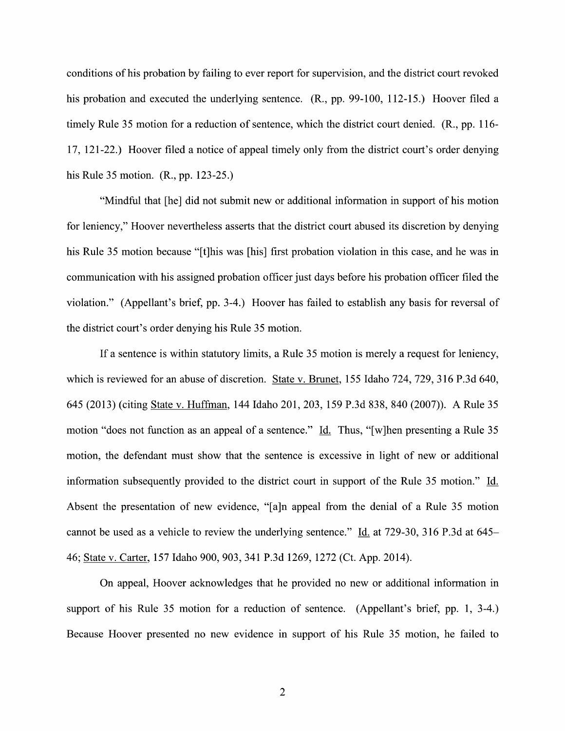conditions of his probation by failing to ever report for supervision, and the district court revoked his probation and executed the underlying sentence. (R., pp. 99-100, 112-15.) Hoover filed a timely Rule 35 motion for a reduction of sentence, which the district court denied.  $(R<sub>1</sub>, pp. 116-$ 17, 121-22.) Hoover filed a notice of appeal timely only from the district court's order denying his Rule 35 motion. (R., pp. 123-25.)

"Mindful that [he] did not submit new or additional information in support of his motion for leniency," Hoover nevertheless asserts that the district court abused its discretion by denying his Rule 35 motion because "[t]his was [his] first probation violation in this case, and he was in communication With his assigned probation officer just days before his probation officer filed the violation." (Appellant's brief, pp. 3-4.) Hoover has failed to establish any basis for reversal of the district court's order denying his Rule 35 motion.

If a sentence is within statutory limits, a Rule 35 motion is merely a request for leniency, which is reviewed for an abuse of discretion. State v. Brunet, 155 Idaho 724, 729, 316 P.3d 640,<br>645 (2013) (citing <u>State v. Huffman</u>, 144 Idaho 201, 203, 159 P.3d 838, 840 (2007)). A Rule 35 motion "does not function as an appeal of a sentence." Id. Thus, "[w]hen presenting a Rule 35 motion, the defendant must show that the sentence is excessive in light of new or additional information subsequently provided to the district court in support of the Rule 35 motion." Id. Absent the presentation of new evidence, "[a]n appeal from the denial of a Rule 35 motion cannot be used as a vehicle to review the underlying sentence." Id. at 729-30, 316 P.3d at 645– 46; State V. Carter, <sup>157</sup> Idaho 900, 903, <sup>341</sup> P.3d 1269, <sup>1272</sup> (Ct. App. 2014).

On appeal, Hoover acknowledges that he provided n0 new or additional information in support of his Rule 35 motion for a reduction of sentence. (Appellant's brief, pp. 1, 3-4.) Because Hoover presented n0 new evidence in support of his Rule 35 motion, he failed to

 $\overline{2}$